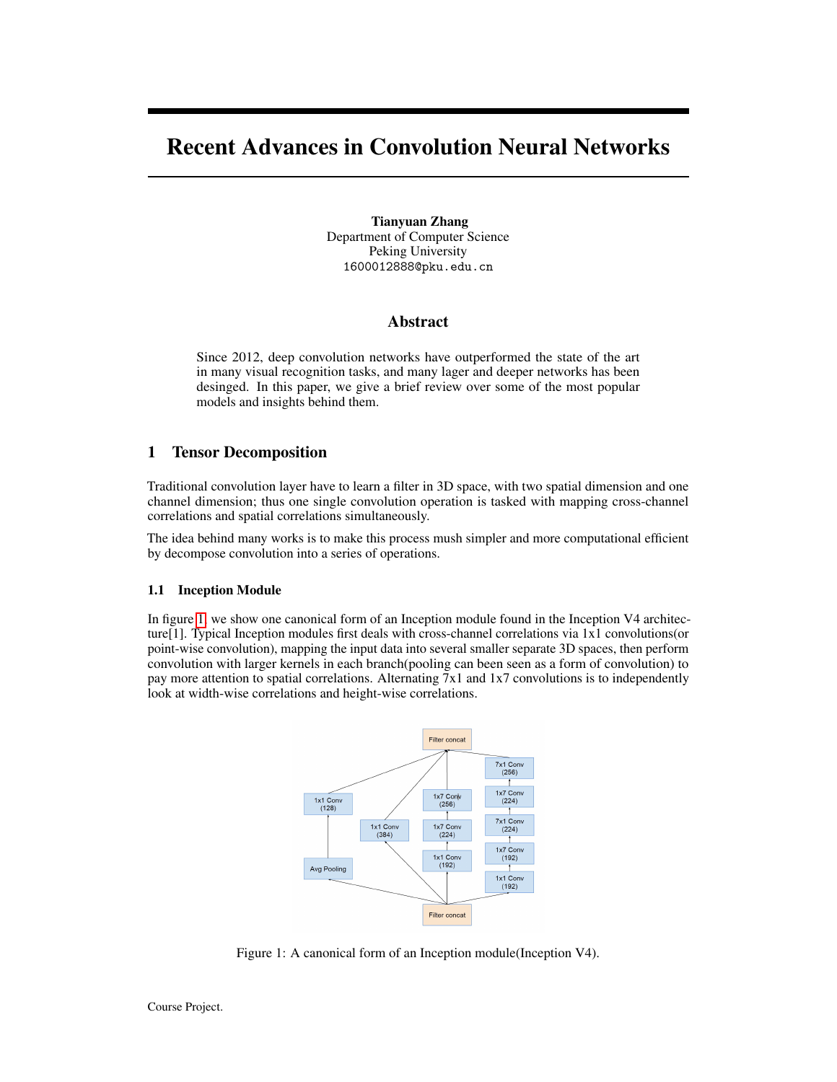# Recent Advances in Convolution Neural Networks

Tianyuan Zhang Department of Computer Science Peking University 1600012888@pku.edu.cn

## Abstract

Since 2012, deep convolution networks have outperformed the state of the art in many visual recognition tasks, and many lager and deeper networks has been desinged. In this paper, we give a brief review over some of the most popular models and insights behind them.

# 1 Tensor Decomposition

Traditional convolution layer have to learn a filter in 3D space, with two spatial dimension and one channel dimension; thus one single convolution operation is tasked with mapping cross-channel correlations and spatial correlations simultaneously.

The idea behind many works is to make this process mush simpler and more computational efficient by decompose convolution into a series of operations.

#### 1.1 Inception Module

In figure [1,](#page-0-0) we show one canonical form of an Inception module found in the Inception V4 architecture[1]. Typical Inception modules first deals with cross-channel correlations via 1x1 convolutions(or point-wise convolution), mapping the input data into several smaller separate 3D spaces, then perform convolution with larger kernels in each branch(pooling can been seen as a form of convolution) to pay more attention to spatial correlations. Alternating 7x1 and 1x7 convolutions is to independently look at width-wise correlations and height-wise correlations.



<span id="page-0-0"></span>Figure 1: A canonical form of an Inception module(Inception V4).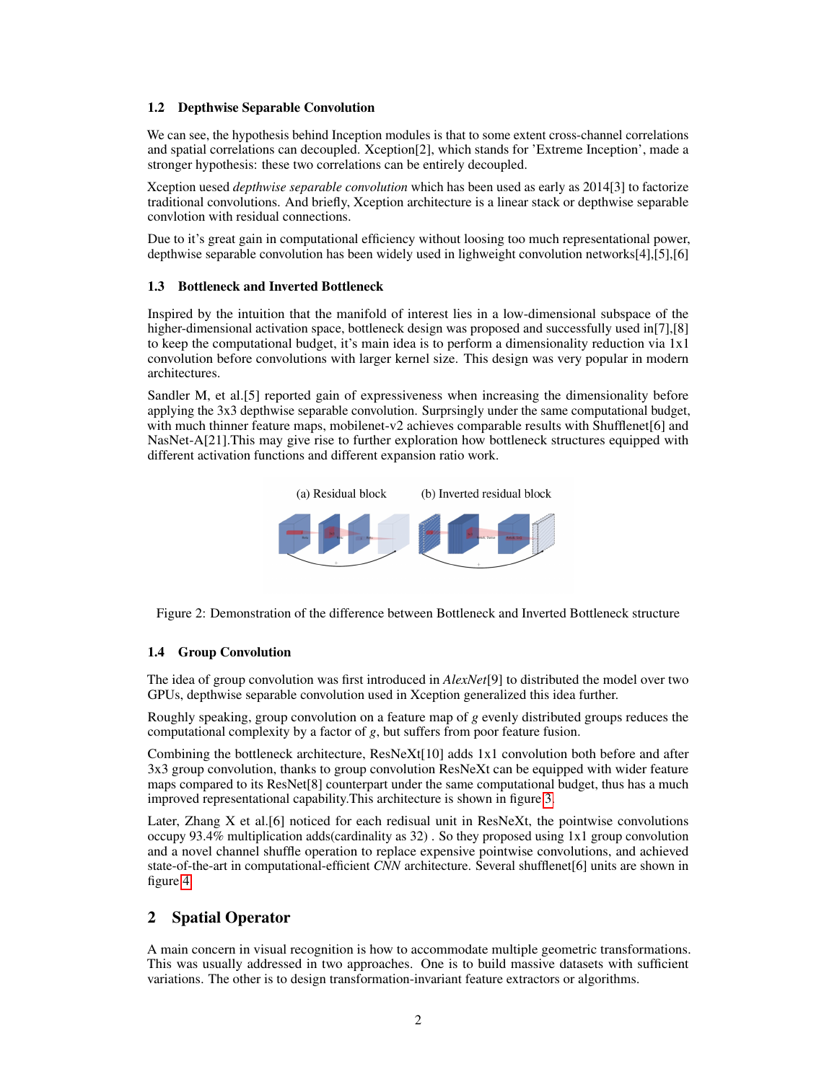#### 1.2 Depthwise Separable Convolution

We can see, the hypothesis behind Inception modules is that to some extent cross-channel correlations and spatial correlations can decoupled. Xception[2], which stands for 'Extreme Inception', made a stronger hypothesis: these two correlations can be entirely decoupled.

Xception uesed *depthwise separable convolution* which has been used as early as 2014[3] to factorize traditional convolutions. And briefly, Xception architecture is a linear stack or depthwise separable convlotion with residual connections.

Due to it's great gain in computational efficiency without loosing too much representational power, depthwise separable convolution has been widely used in lighweight convolution networks[4],[5],[6]

#### 1.3 Bottleneck and Inverted Bottleneck

Inspired by the intuition that the manifold of interest lies in a low-dimensional subspace of the higher-dimensional activation space, bottleneck design was proposed and successfully used in[7],[8] to keep the computational budget, it's main idea is to perform a dimensionality reduction via 1x1 convolution before convolutions with larger kernel size. This design was very popular in modern architectures.

Sandler M, et al.[5] reported gain of expressiveness when increasing the dimensionality before applying the 3x3 depthwise separable convolution. Surprsingly under the same computational budget, with much thinner feature maps, mobilenet-v2 achieves comparable results with Shufflenet $[6]$  and NasNet-A[21].This may give rise to further exploration how bottleneck structures equipped with different activation functions and different expansion ratio work.



Figure 2: Demonstration of the difference between Bottleneck and Inverted Bottleneck structure

#### 1.4 Group Convolution

The idea of group convolution was first introduced in *AlexNet*[9] to distributed the model over two GPUs, depthwise separable convolution used in Xception generalized this idea further.

Roughly speaking, group convolution on a feature map of *g* evenly distributed groups reduces the computational complexity by a factor of *g*, but suffers from poor feature fusion.

Combining the bottleneck architecture, ResNeXt[10] adds 1x1 convolution both before and after 3x3 group convolution, thanks to group convolution ResNeXt can be equipped with wider feature maps compared to its ResNet[8] counterpart under the same computational budget, thus has a much improved representational capability.This architecture is shown in figure [3.](#page-2-0)

Later, Zhang X et al. [6] noticed for each redisual unit in  $ResNext$ , the pointwise convolutions occupy 93.4% multiplication adds(cardinality as 32) . So they proposed using 1x1 group convolution and a novel channel shuffle operation to replace expensive pointwise convolutions, and achieved state-of-the-art in computational-efficient *CNN* architecture. Several shufflenet[6] units are shown in figure [4.](#page-2-1)

# 2 Spatial Operator

A main concern in visual recognition is how to accommodate multiple geometric transformations. This was usually addressed in two approaches. One is to build massive datasets with sufficient variations. The other is to design transformation-invariant feature extractors or algorithms.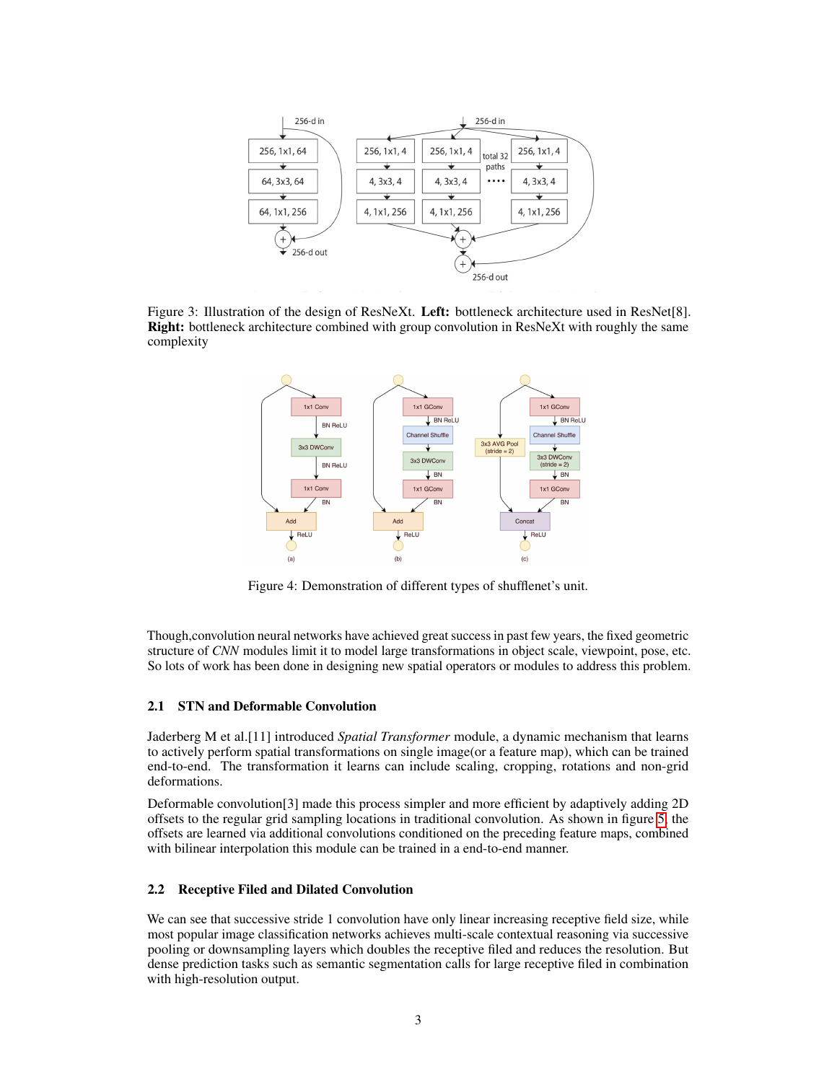

<span id="page-2-0"></span>Figure 3: Illustration of the design of ResNeXt. Left: bottleneck architecture used in ResNet[8]. Right: bottleneck architecture combined with group convolution in ResNeXt with roughly the same complexity



<span id="page-2-1"></span>Figure 4: Demonstration of different types of shufflenet's unit.

Though,convolution neural networks have achieved great success in past few years, the fixed geometric structure of *CNN* modules limit it to model large transformations in object scale, viewpoint, pose, etc. So lots of work has been done in designing new spatial operators or modules to address this problem.

#### 2.1 STN and Deformable Convolution

Jaderberg M et al.[11] introduced *Spatial Transformer* module, a dynamic mechanism that learns to actively perform spatial transformations on single image(or a feature map), which can be trained end-to-end. The transformation it learns can include scaling, cropping, rotations and non-grid deformations.

Deformable convolution[3] made this process simpler and more efficient by adaptively adding 2D offsets to the regular grid sampling locations in traditional convolution. As shown in figure [5,](#page-3-0) the offsets are learned via additional convolutions conditioned on the preceding feature maps, combined with bilinear interpolation this module can be trained in a end-to-end manner.

#### 2.2 Receptive Filed and Dilated Convolution

We can see that successive stride 1 convolution have only linear increasing receptive field size, while most popular image classification networks achieves multi-scale contextual reasoning via successive pooling or downsampling layers which doubles the receptive filed and reduces the resolution. But dense prediction tasks such as semantic segmentation calls for large receptive filed in combination with high-resolution output.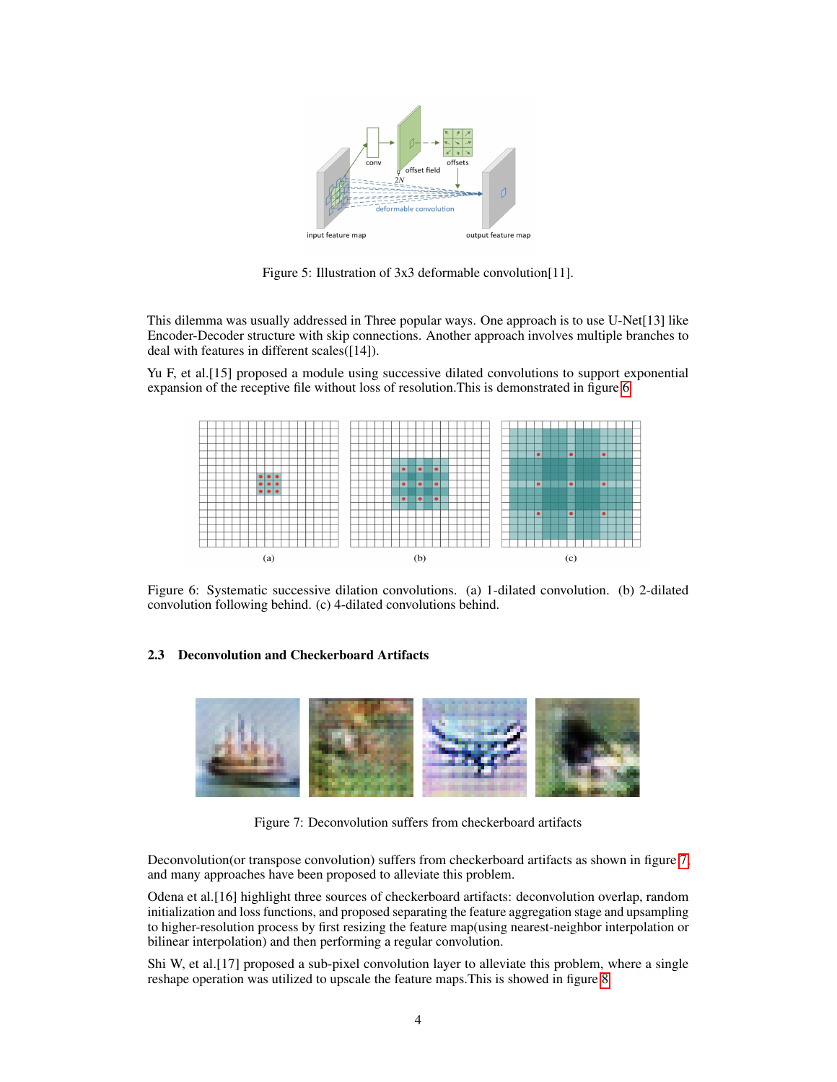

<span id="page-3-0"></span>Figure 5: Illustration of 3x3 deformable convolution[11].

This dilemma was usually addressed in Three popular ways. One approach is to use U-Net[13] like Encoder-Decoder structure with skip connections. Another approach involves multiple branches to deal with features in different scales([14]).

Yu F, et al.[15] proposed a module using successive dilated convolutions to support exponential expansion of the receptive file without loss of resolution.This is demonstrated in figure [6](#page-3-1)



<span id="page-3-1"></span>Figure 6: Systematic successive dilation convolutions. (a) 1-dilated convolution. (b) 2-dilated convolution following behind. (c) 4-dilated convolutions behind.

#### 2.3 Deconvolution and Checkerboard Artifacts



Figure 7: Deconvolution suffers from checkerboard artifacts

<span id="page-3-2"></span>Deconvolution(or transpose convolution) suffers from checkerboard artifacts as shown in figure [7,](#page-3-2) and many approaches have been proposed to alleviate this problem.

Odena et al.[16] highlight three sources of checkerboard artifacts: deconvolution overlap, random initialization and loss functions, and proposed separating the feature aggregation stage and upsampling to higher-resolution process by first resizing the feature map(using nearest-neighbor interpolation or bilinear interpolation) and then performing a regular convolution.

Shi W, et al.[17] proposed a sub-pixel convolution layer to alleviate this problem, where a single reshape operation was utilized to upscale the feature maps.This is showed in figure [8](#page-4-0)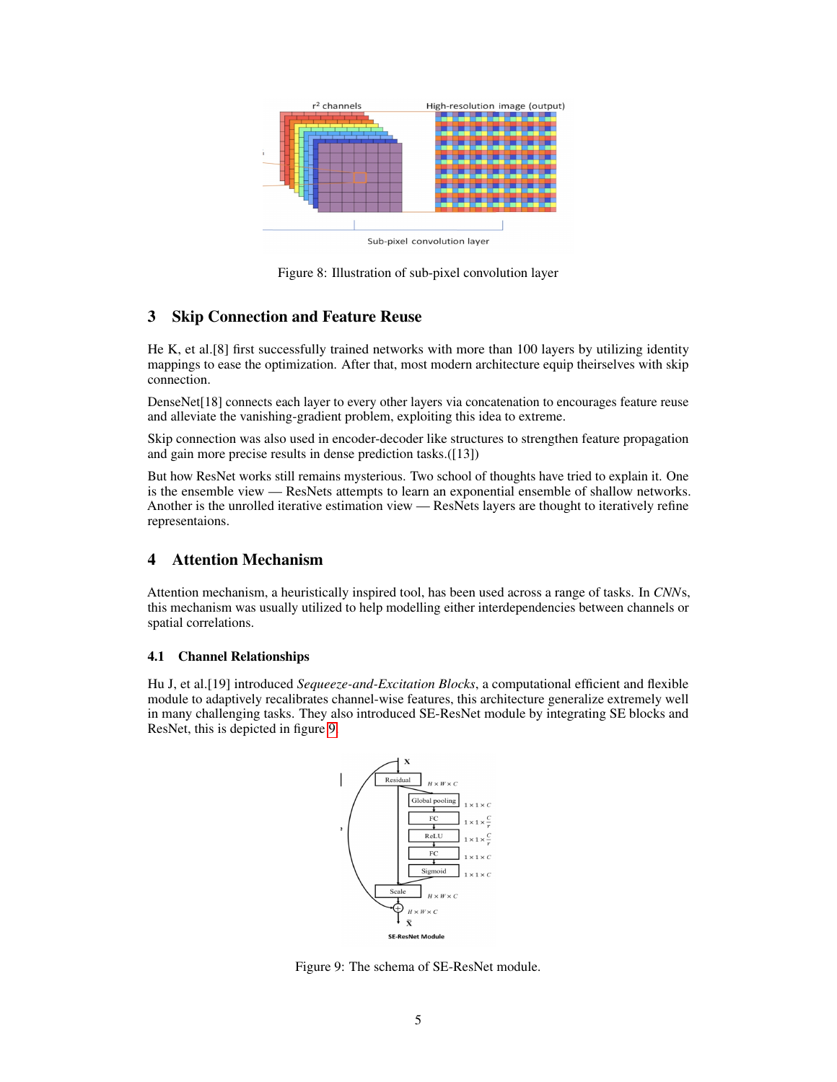

<span id="page-4-0"></span>Figure 8: Illustration of sub-pixel convolution layer

# 3 Skip Connection and Feature Reuse

He K, et al.[8] first successfully trained networks with more than 100 layers by utilizing identity mappings to ease the optimization. After that, most modern architecture equip theirselves with skip connection.

DenseNet[18] connects each layer to every other layers via concatenation to encourages feature reuse and alleviate the vanishing-gradient problem, exploiting this idea to extreme.

Skip connection was also used in encoder-decoder like structures to strengthen feature propagation and gain more precise results in dense prediction tasks.([13])

But how ResNet works still remains mysterious. Two school of thoughts have tried to explain it. One is the ensemble view — ResNets attempts to learn an exponential ensemble of shallow networks. Another is the unrolled iterative estimation view — ResNets layers are thought to iteratively refine representaions.

# 4 Attention Mechanism

Attention mechanism, a heuristically inspired tool, has been used across a range of tasks. In *CNN*s, this mechanism was usually utilized to help modelling either interdependencies between channels or spatial correlations.

# 4.1 Channel Relationships

Hu J, et al.[19] introduced *Sequeeze-and-Excitation Blocks*, a computational efficient and flexible module to adaptively recalibrates channel-wise features, this architecture generalize extremely well in many challenging tasks. They also introduced SE-ResNet module by integrating SE blocks and ResNet, this is depicted in figure [9.](#page-4-1)



<span id="page-4-1"></span>Figure 9: The schema of SE-ResNet module.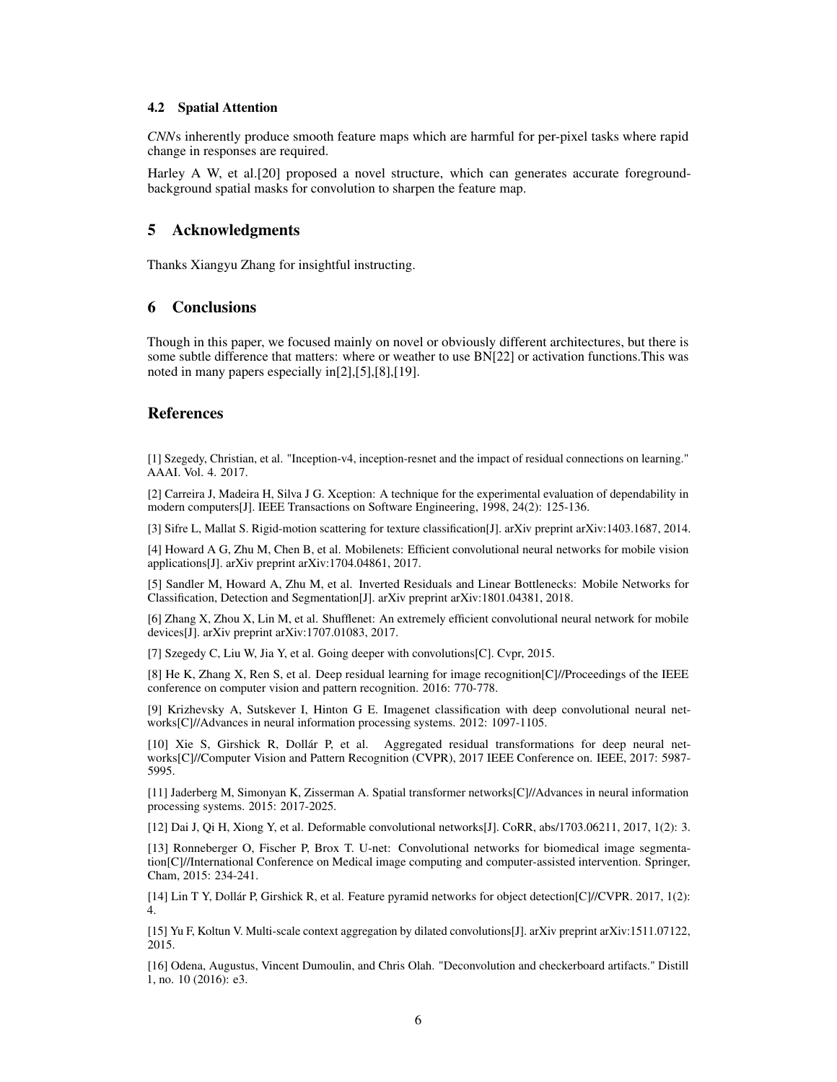#### 4.2 Spatial Attention

*CNN*s inherently produce smooth feature maps which are harmful for per-pixel tasks where rapid change in responses are required.

Harley A W, et al.[20] proposed a novel structure, which can generates accurate foregroundbackground spatial masks for convolution to sharpen the feature map.

#### 5 Acknowledgments

Thanks Xiangyu Zhang for insightful instructing.

# 6 Conclusions

Though in this paper, we focused mainly on novel or obviously different architectures, but there is some subtle difference that matters: where or weather to use BN[22] or activation functions.This was noted in many papers especially in[2],[5],[8],[19].

### References

[1] Szegedy, Christian, et al. "Inception-v4, inception-resnet and the impact of residual connections on learning." AAAI. Vol. 4. 2017.

[2] Carreira J, Madeira H, Silva J G. Xception: A technique for the experimental evaluation of dependability in modern computers[J]. IEEE Transactions on Software Engineering, 1998, 24(2): 125-136.

[3] Sifre L, Mallat S. Rigid-motion scattering for texture classification[J]. arXiv preprint arXiv:1403.1687, 2014.

[4] Howard A G, Zhu M, Chen B, et al. Mobilenets: Efficient convolutional neural networks for mobile vision applications[J]. arXiv preprint arXiv:1704.04861, 2017.

[5] Sandler M, Howard A, Zhu M, et al. Inverted Residuals and Linear Bottlenecks: Mobile Networks for Classification, Detection and Segmentation[J]. arXiv preprint arXiv:1801.04381, 2018.

[6] Zhang X, Zhou X, Lin M, et al. Shufflenet: An extremely efficient convolutional neural network for mobile devices[J]. arXiv preprint arXiv:1707.01083, 2017.

[7] Szegedy C, Liu W, Jia Y, et al. Going deeper with convolutions[C]. Cvpr, 2015.

[8] He K, Zhang X, Ren S, et al. Deep residual learning for image recognition[C]//Proceedings of the IEEE conference on computer vision and pattern recognition. 2016: 770-778.

[9] Krizhevsky A, Sutskever I, Hinton G E. Imagenet classification with deep convolutional neural networks[C]//Advances in neural information processing systems. 2012: 1097-1105.

[10] Xie S, Girshick R, Dollár P, et al. Aggregated residual transformations for deep neural networks[C]//Computer Vision and Pattern Recognition (CVPR), 2017 IEEE Conference on. IEEE, 2017: 5987- 5995.

[11] Jaderberg M, Simonyan K, Zisserman A. Spatial transformer networks[C]//Advances in neural information processing systems. 2015: 2017-2025.

[12] Dai J, Qi H, Xiong Y, et al. Deformable convolutional networks[J]. CoRR, abs/1703.06211, 2017, 1(2): 3.

[13] Ronneberger O, Fischer P, Brox T. U-net: Convolutional networks for biomedical image segmentation[C]//International Conference on Medical image computing and computer-assisted intervention. Springer, Cham, 2015: 234-241.

[14] Lin T Y, Dollár P, Girshick R, et al. Feature pyramid networks for object detection[C]//CVPR. 2017, 1(2): 4.

[15] Yu F, Koltun V. Multi-scale context aggregation by dilated convolutions[J]. arXiv preprint arXiv:1511.07122, 2015.

[16] Odena, Augustus, Vincent Dumoulin, and Chris Olah. "Deconvolution and checkerboard artifacts." Distill 1, no. 10 (2016): e3.